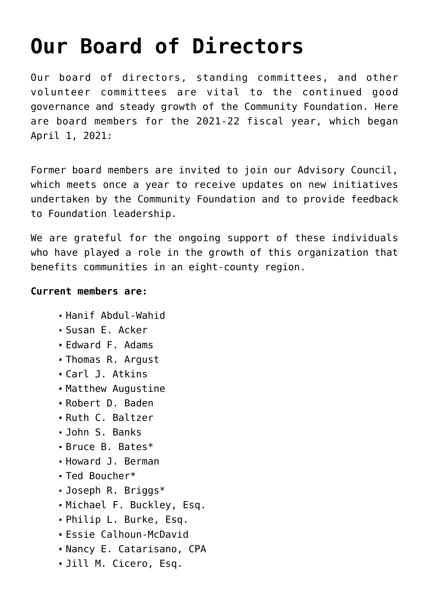## **[Our Board of Directors](https://www.racf.org/about/our-board-of-directors/)**

Our board of directors, standing committees, and other volunteer committees are vital to the continued good governance and steady growth of the Community Foundation. Here are board members for the 2021-22 fiscal year, which began April 1, 2021:

Former board members are invited to join our Advisory Council, which meets once a year to receive updates on new initiatives undertaken by the Community Foundation and to provide feedback to Foundation leadership.

We are grateful for the ongoing support of these individuals who have played a role in the growth of this organization that benefits communities in an eight-county region.

## **Current members are:**

- Hanif Abdul-Wahid
- Susan E. Acker
- Edward F. Adams
- Thomas R. Argust
- Carl J. Atkins
- Matthew Augustine
- Robert D. Baden
- Ruth C. Baltzer
- John S. Banks
- Bruce B. Bates\*
- Howard J. Berman
- Ted Boucher\*
- Joseph R. Briggs\*
- Michael F. Buckley, Esq.
- Philip L. Burke, Esq.
- Essie Calhoun-McDavid
- Nancy E. Catarisano, CPA
- Jill M. Cicero, Esq.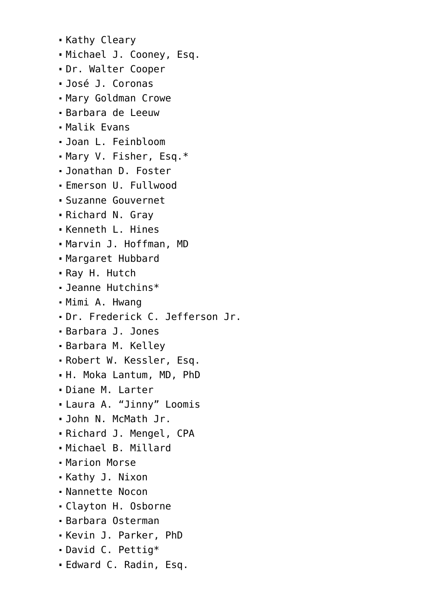Kathy Cleary Michael J. Cooney, Esq. Dr. Walter Cooper José J. Coronas Mary Goldman Crowe Barbara de Leeuw Malik Evans Joan L. Feinbloom Mary V. Fisher, Esq.\* Jonathan D. Foster Emerson U. Fullwood Suzanne Gouvernet Richard N. Gray Kenneth L. Hines Marvin J. Hoffman, MD Margaret Hubbard Ray H. Hutch Jeanne Hutchins\* Mimi A. Hwang Dr. Frederick C. Jefferson Jr. Barbara J. Jones Barbara M. Kelley Robert W. Kessler, Esq. H. Moka Lantum, MD, PhD Diane M. Larter Laura A. "Jinny" Loomis John N. McMath Jr. Richard J. Mengel, CPA Michael B. Millard Marion Morse Kathy J. Nixon Nannette Nocon Clayton H. Osborne Barbara Osterman Kevin J. Parker, PhD David C. Pettig\* Edward C. Radin, Esq.